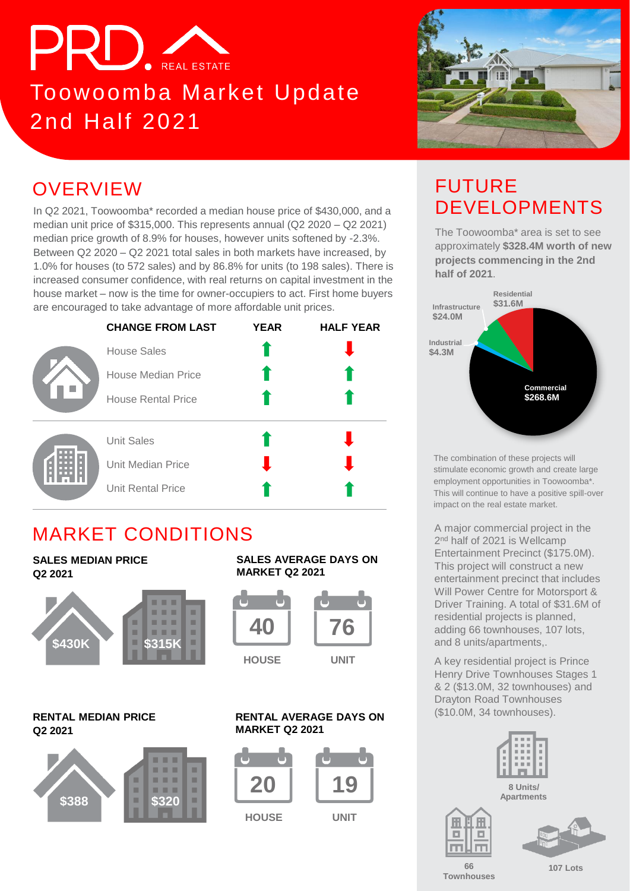

# Toowoomba Market Update 2nd Half 2021



# **OVERVIEW**

In Q2 2021, Toowoomba\* recorded a median house price of \$430,000, and a median unit price of \$315,000. This represents annual (Q2 2020 – Q2 2021) median price growth of 8.9% for houses, however units softened by -2.3%. Between Q2 2020 – Q2 2021 total sales in both markets have increased, by 1.0% for houses (to 572 sales) and by 86.8% for units (to 198 sales). There is increased consumer confidence, with real returns on capital investment in the house market – now is the time for owner-occupiers to act. First home buyers are encouraged to take advantage of more affordable unit prices.



### MARKET CONDITIONS

#### **SALES MEDIAN PRICE Q2 2021**



#### **RENTAL MEDIAN PRICE Q2 2021**



#### **SALES AVERAGE DAYS ON MARKET Q2 2021**



#### **RENTAL AVERAGE DAYS ON MARKET Q2 2021**



**HOUSE UNIT**

#### DEVELOPMENTS The Toowoomba\* area is set to see approximately **\$328.4M worth of new projects commencing in the 2nd half of 2021**.

FUTURE



The combination of these projects will stimulate economic growth and create large employment opportunities in Toowoomba\*. This will continue to have a positive spill-over impact on the real estate market.

A major commercial project in the 2<sup>nd</sup> half of 2021 is Wellcamp Entertainment Precinct (\$175.0M). This project will construct a new entertainment precinct that includes Will Power Centre for Motorsport & Driver Training. A total of \$31.6M of residential projects is planned, adding 66 townhouses, 107 lots, and 8 units/apartments,.

A key residential project is Prince Henry Drive Townhouses Stages 1 & 2 (\$13.0M, 32 townhouses) and Drayton Road Townhouses (\$10.0M, 34 townhouses).



**66 Townhouses**

囲 о

 $\Box$ 

**107 Lots**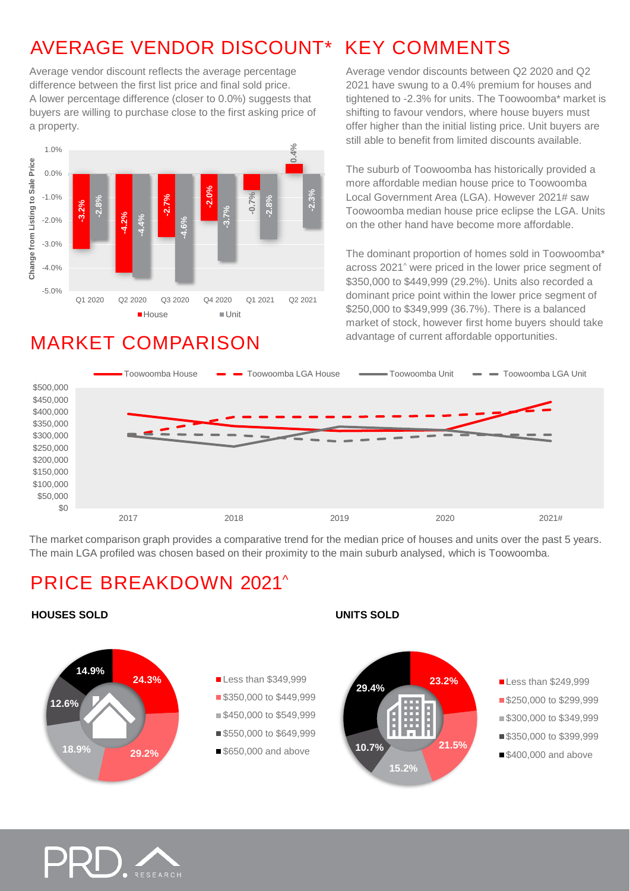# AVERAGE VENDOR DISCOUNT\* KEY COMMENTS

Average vendor discount reflects the average percentage difference between the first list price and final sold price. A lower percentage difference (closer to 0.0%) suggests that buyers are willing to purchase close to the first asking price of a property.



### MARKET COMPARISON

Average vendor discounts between Q2 2020 and Q2 2021 have swung to a 0.4% premium for houses and tightened to -2.3% for units. The Toowoomba\* market is shifting to favour vendors, where house buyers must offer higher than the initial listing price. Unit buyers are still able to benefit from limited discounts available.

The suburb of Toowoomba has historically provided a more affordable median house price to Toowoomba Local Government Area (LGA). However 2021# saw Toowoomba median house price eclipse the LGA. Units on the other hand have become more affordable.

The dominant proportion of homes sold in Toowoomba\* across 2021^ were priced in the lower price segment of \$350,000 to \$449,999 (29.2%). Units also recorded a dominant price point within the lower price segment of \$250,000 to \$349,999 (36.7%). There is a balanced market of stock, however first home buyers should take advantage of current affordable opportunities.



The market comparison graph provides a comparative trend for the median price of houses and units over the past 5 years. The main LGA profiled was chosen based on their proximity to the main suburb analysed, which is Toowoomba.

### PRICE BREAKDOWN 2021^





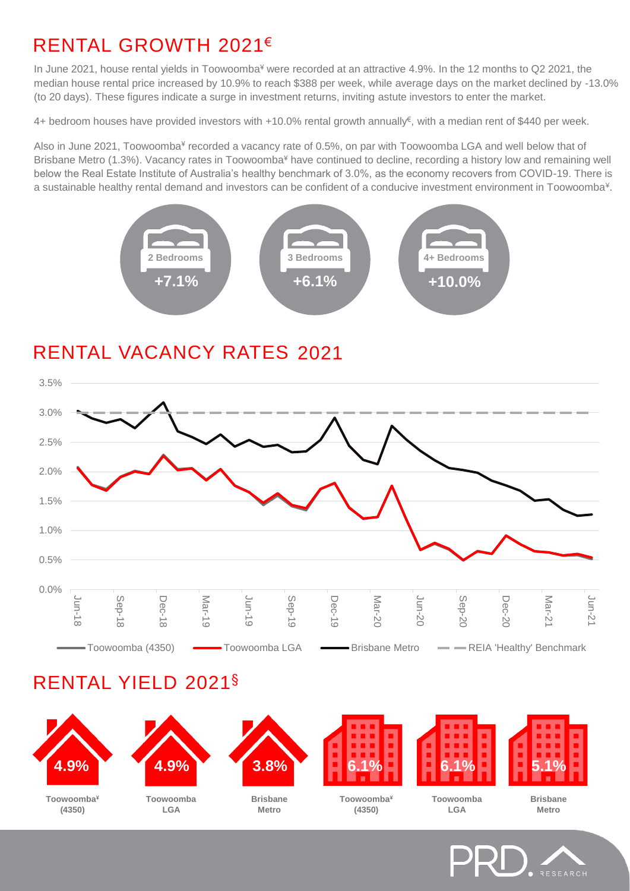# RENTAL GROWTH 2021€

In June 2021, house rental yields in Toowoomba<sup>¥</sup> were recorded at an attractive 4.9%. In the 12 months to Q2 2021, the median house rental price increased by 10.9% to reach \$388 per week, while average days on the market declined by -13.0% (to 20 days). These figures indicate a surge in investment returns, inviting astute investors to enter the market.

4+ bedroom houses have provided investors with +10.0% rental growth annually<sup>€</sup>, with a median rent of \$440 per week.

Also in June 2021, Toowoomba<sup>¥</sup> recorded a vacancy rate of 0.5%, on par with Toowoomba LGA and well below that of Brisbane Metro (1.3%). Vacancy rates in Toowoomba<sup>¥</sup> have continued to decline, recording a history low and remaining well below the Real Estate Institute of Australia's healthy benchmark of 3.0%, as the economy recovers from COVID-19. There is a sustainable healthy rental demand and investors can be confident of a conducive investment environment in Toowoomba<sup>¥</sup>.



# RENTAL VACANCY RATES 2021



### RENTAL YIELD 2021§



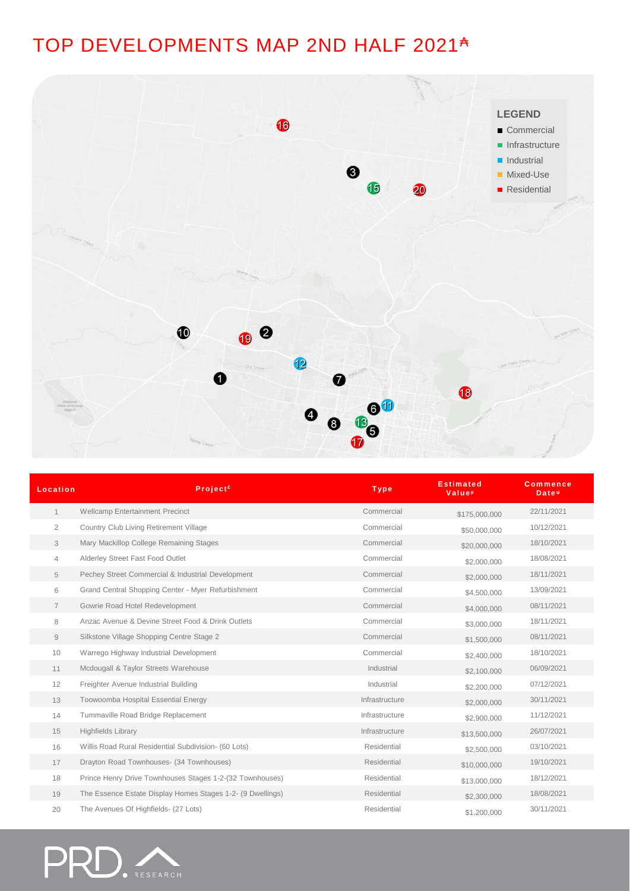# TOP DEVELOPMENTS MAP 2ND HALF 2021<sup>A</sup>



| Location       | <b>Project</b> <sup>£</sup>                                | <b>Type</b>    | <b>Estimated</b><br><b>Value</b> <sup>µ</sup> | <b>Commence</b><br>Date <sup>#</sup> |
|----------------|------------------------------------------------------------|----------------|-----------------------------------------------|--------------------------------------|
| $\mathbf{1}$   | <b>Wellcamp Entertainment Precinct</b>                     | Commercial     | \$175,000,000                                 | 22/11/2021                           |
| $\overline{2}$ | Country Club Living Retirement Village                     | Commercial     | \$50,000,000                                  | 10/12/2021                           |
| 3              | Mary Mackillop College Remaining Stages                    | Commercial     | \$20,000,000                                  | 18/10/2021                           |
| 4              | Alderley Street Fast Food Outlet                           | Commercial     | \$2,000,000                                   | 18/08/2021                           |
| 5              | Pechey Street Commercial & Industrial Development          | Commercial     | \$2,000,000                                   | 18/11/2021                           |
| 6              | Grand Central Shopping Center - Myer Refurbishment         | Commercial     | \$4,500,000                                   | 13/09/2021                           |
| $\overline{7}$ | Gowrie Road Hotel Redevelopment                            | Commercial     | \$4,000,000                                   | 08/11/2021                           |
| 8              | Anzac Avenue & Devine Street Food & Drink Outlets          | Commercial     | \$3,000,000                                   | 18/11/2021                           |
| 9              | Silkstone Village Shopping Centre Stage 2                  | Commercial     | \$1,500,000                                   | 08/11/2021                           |
| 10             | Warrego Highway Industrial Development                     | Commercial     | \$2,400,000                                   | 18/10/2021                           |
| 11             | Mcdougall & Taylor Streets Warehouse                       | Industrial     | \$2,100,000                                   | 06/09/2021                           |
| 12             | Freighter Avenue Industrial Building                       | Industrial     | \$2,200,000                                   | 07/12/2021                           |
| 13             | Toowoomba Hospital Essential Energy                        | Infrastructure | \$2,000,000                                   | 30/11/2021                           |
| 14             | Tummaville Road Bridge Replacement                         | Infrastructure | \$2,900,000                                   | 11/12/2021                           |
| 15             | <b>Highfields Library</b>                                  | Infrastructure | \$13,500,000                                  | 26/07/2021                           |
| 16             | Willis Road Rural Residential Subdivision- (60 Lots)       | Residential    | \$2,500,000                                   | 03/10/2021                           |
| 17             | Drayton Road Townhouses- (34 Townhouses)                   | Residential    | \$10,000,000                                  | 19/10/2021                           |
| 18             | Prince Henry Drive Townhouses Stages 1-2-(32 Townhouses)   | Residential    | \$13,000,000                                  | 18/12/2021                           |
| 19             | The Essence Estate Display Homes Stages 1-2- (9 Dwellings) | Residential    | \$2,300,000                                   | 18/08/2021                           |
| 20             | The Avenues Of Highfields- (27 Lots)                       | Residential    | \$1,200,000                                   | 30/11/2021                           |

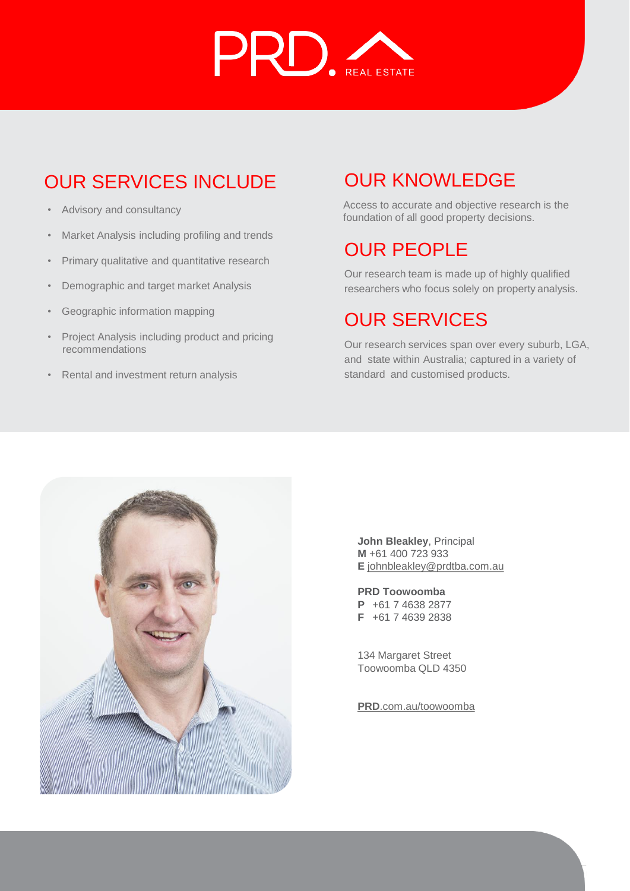

# OUR SERVICES INCLUDE

- Advisory and consultancy
- Market Analysis including profiling and trends
- Primary qualitative and quantitative research
- Demographic and target market Analysis
- Geographic information mapping
- Project Analysis including product and pricing recommendations
- Rental and investment return analysis

# OUR KNOWLEDGE

Access to accurate and objective research is the foundation of all good property decisions.

### OUR PEOPLE

Our research team is made up of highly qualified researchers who focus solely on property analysis.

# OUR SERVICES

Our research services span over every suburb, LGA, and state within Australia; captured in a variety of standard and customised products.



**John Bleakley**, Principal **M** +61 400 723 933 **E** [johnbleakley@prdtba.com.au](mailto:johnbleakley@prdtba.com.au)

**PRD Toowoomba P** +61 7 4638 2877 **F** +61 7 4639 2838

134 Margaret Street Toowoomba QLD 4350

**PRD**[.com.au/toowoomba](https://www.prd.com.au/toowoomba/)